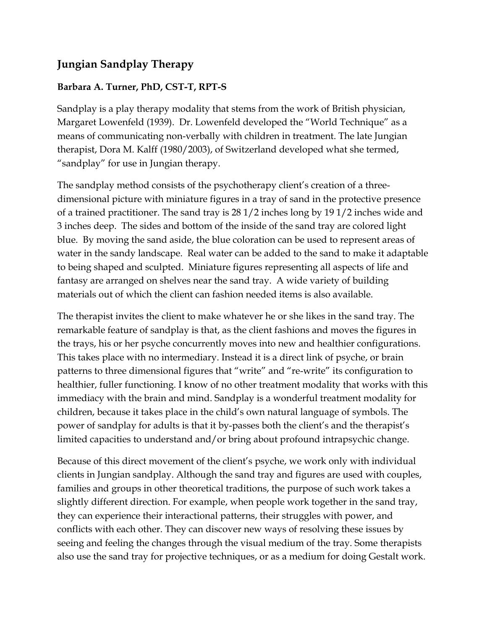# **Jungian Sandplay Therapy**

### **Barbara A. Turner, PhD, CST-T, RPT-S**

Sandplay is a play therapy modality that stems from the work of British physician, Margaret Lowenfeld (1939). Dr. Lowenfeld developed the "World Technique" as a means of communicating non-verbally with children in treatment. The late Jungian therapist, Dora M. Kalff (1980/2003), of Switzerland developed what she termed, "sandplay" for use in Jungian therapy.

The sandplay method consists of the psychotherapy client's creation of a threedimensional picture with miniature figures in a tray of sand in the protective presence of a trained practitioner. The sand tray is 28 1/2 inches long by 19 1/2 inches wide and 3 inches deep. The sides and bottom of the inside of the sand tray are colored light blue. By moving the sand aside, the blue coloration can be used to represent areas of water in the sandy landscape. Real water can be added to the sand to make it adaptable to being shaped and sculpted. Miniature figures representing all aspects of life and fantasy are arranged on shelves near the sand tray. A wide variety of building materials out of which the client can fashion needed items is also available.

The therapist invites the client to make whatever he or she likes in the sand tray. The remarkable feature of sandplay is that, as the client fashions and moves the figures in the trays, his or her psyche concurrently moves into new and healthier configurations. This takes place with no intermediary. Instead it is a direct link of psyche, or brain patterns to three dimensional figures that "write" and "re-write" its configuration to healthier, fuller functioning. I know of no other treatment modality that works with this immediacy with the brain and mind. Sandplay is a wonderful treatment modality for children, because it takes place in the child's own natural language of symbols. The power of sandplay for adults is that it by-passes both the client's and the therapist's limited capacities to understand and/or bring about profound intrapsychic change.

Because of this direct movement of the client's psyche, we work only with individual clients in Jungian sandplay. Although the sand tray and figures are used with couples, families and groups in other theoretical traditions, the purpose of such work takes a slightly different direction. For example, when people work together in the sand tray, they can experience their interactional patterns, their struggles with power, and conflicts with each other. They can discover new ways of resolving these issues by seeing and feeling the changes through the visual medium of the tray. Some therapists also use the sand tray for projective techniques, or as a medium for doing Gestalt work.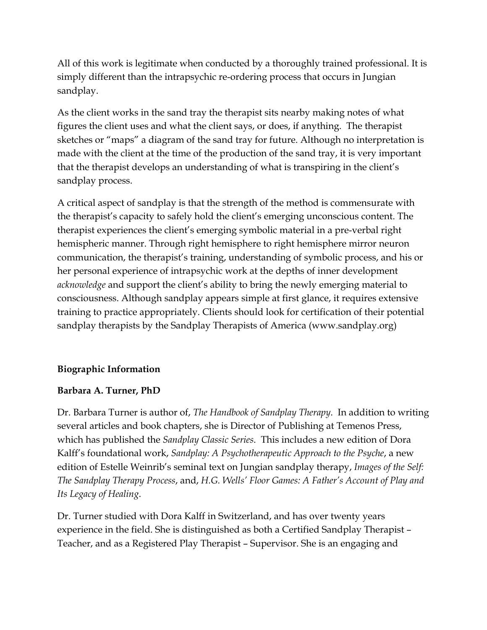All of this work is legitimate when conducted by a thoroughly trained professional. It is simply different than the intrapsychic re-ordering process that occurs in Jungian sandplay.

As the client works in the sand tray the therapist sits nearby making notes of what figures the client uses and what the client says, or does, if anything. The therapist sketches or "maps" a diagram of the sand tray for future. Although no interpretation is made with the client at the time of the production of the sand tray, it is very important that the therapist develops an understanding of what is transpiring in the client's sandplay process.

A critical aspect of sandplay is that the strength of the method is commensurate with the therapist's capacity to safely hold the client's emerging unconscious content. The therapist experiences the client's emerging symbolic material in a pre-verbal right hemispheric manner. Through right hemisphere to right hemisphere mirror neuron communication, the therapist's training, understanding of symbolic process, and his or her personal experience of intrapsychic work at the depths of inner development *acknowledge* and support the client's ability to bring the newly emerging material to consciousness. Although sandplay appears simple at first glance, it requires extensive training to practice appropriately. Clients should look for certification of their potential sandplay therapists by the Sandplay Therapists of America (www.sandplay.org)

### **Biographic Information**

#### **Barbara A. Turner, PhD**

Dr. Barbara Turner is author of, *The Handbook of Sandplay Therapy*. In addition to writing several articles and book chapters, she is Director of Publishing at Temenos Press, which has published the *Sandplay Classic Series*. This includes a new edition of Dora Kalff's foundational work, *Sandplay: A Psychotherapeutic Approach to the Psyche*, a new edition of Estelle Weinrib's seminal text on Jungian sandplay therapy, *Images of the Self: The Sandplay Therapy Process*, and, *H.G. Wells' Floor Games: A Father's Account of Play and Its Legacy of Healing*.

Dr. Turner studied with Dora Kalff in Switzerland, and has over twenty years experience in the field. She is distinguished as both a Certified Sandplay Therapist – Teacher, and as a Registered Play Therapist – Supervisor. She is an engaging and